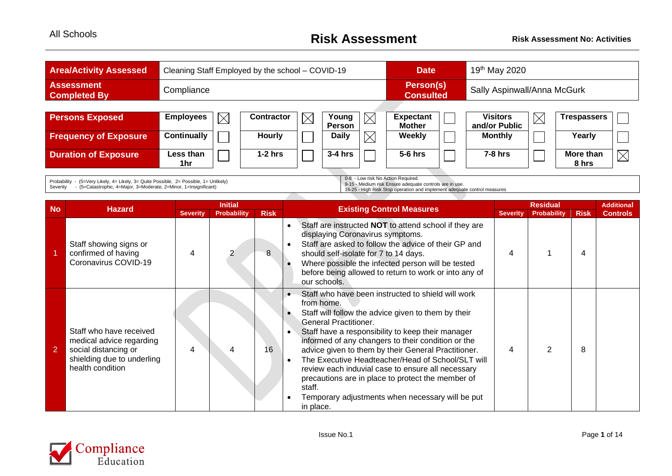| <b>Area/Activity Assessed</b>            | Cleaning Staff Employed by the school - COVID-19 |                   |             |                 |             | <b>Date</b>                       | 19 <sup>th</sup> May 2020        |             |                    |          |  |  |
|------------------------------------------|--------------------------------------------------|-------------------|-------------|-----------------|-------------|-----------------------------------|----------------------------------|-------------|--------------------|----------|--|--|
| <b>Assessment</b><br><b>Completed By</b> | Compliance                                       |                   |             |                 |             | Person(s)<br><b>Consulted</b>     | Sally Aspinwall/Anna McGurk      |             |                    |          |  |  |
|                                          |                                                  |                   |             |                 |             |                                   |                                  |             |                    |          |  |  |
| <b>Persons Exposed</b>                   | <b>Employees</b><br>$\times$                     | <b>Contractor</b> | $\boxtimes$ | Young<br>Person | $\times$    | <b>Expectant</b><br><b>Mother</b> | <b>Visitors</b><br>and/or Public | $\boxtimes$ | <b>Trespassers</b> |          |  |  |
| <b>Frequency of Exposure</b>             | Continually                                      | <b>Hourly</b>     |             | <b>Daily</b>    | $\boxtimes$ | <b>Weekly</b>                     | <b>Monthly</b>                   |             | Yearly             |          |  |  |
| <b>Duration of Exposure</b>              | Less than<br>1hr                                 | $1-2$ hrs         |             | $3-4$ hrs       |             | $5-6$ hrs                         | $7-8$ hrs                        |             | More than<br>8 hrs | $\times$ |  |  |

 $\overline{\phantom{a}}$ 

Probability - (5=Very Likely, 4= Likely, 3= Quite Possible, 2= Possible, 1= Unlikely) Severity - (5=Catastrophic, 4=Major, 3=Moderate, 2=Minor, 1=Insignificant)

0-8 - Low risk No Action Required.

9-15 - Medium risk Ensure adequate controls are in use. 16-25 - High Risk Stop operation and implement adequate control measures

|                |                                                                                                                               |                 | <b>Initial</b>     |             |                                                                                                                                                                                                                                                                                                                                                                                                                                                                                                                                                                     |                 | <b>Residual</b>    |             | <b>Additional</b> |
|----------------|-------------------------------------------------------------------------------------------------------------------------------|-----------------|--------------------|-------------|---------------------------------------------------------------------------------------------------------------------------------------------------------------------------------------------------------------------------------------------------------------------------------------------------------------------------------------------------------------------------------------------------------------------------------------------------------------------------------------------------------------------------------------------------------------------|-----------------|--------------------|-------------|-------------------|
| <b>No</b>      | <b>Hazard</b>                                                                                                                 | <b>Severity</b> | <b>Probability</b> | <b>Risk</b> | <b>Existing Control Measures</b>                                                                                                                                                                                                                                                                                                                                                                                                                                                                                                                                    | <b>Severity</b> | <b>Probability</b> | <b>Risk</b> | <b>Controls</b>   |
|                | Staff showing signs or<br>confirmed of having<br>Coronavirus COVID-19                                                         | 4               |                    | 8           | Staff are instructed <b>NOT</b> to attend school if they are<br>displaying Coronavirus symptoms.<br>Staff are asked to follow the advice of their GP and<br>should self-isolate for 7 to 14 days.<br>Where possible the infected person will be tested<br>before being allowed to return to work or into any of<br>our schools.                                                                                                                                                                                                                                     | 4               |                    | 4           |                   |
| $\overline{2}$ | Staff who have received<br>medical advice regarding<br>social distancing or<br>shielding due to underling<br>health condition | 4               |                    | 16          | Staff who have been instructed to shield will work<br>from home.<br>Staff will follow the advice given to them by their<br><b>General Practitioner.</b><br>Staff have a responsibility to keep their manager<br>informed of any changers to their condition or the<br>advice given to them by their General Practitioner.<br>The Executive Headteacher/Head of School/SLT will<br>review each induvial case to ensure all necessary<br>precautions are in place to protect the member of<br>staff.<br>Temporary adjustments when necessary will be put<br>in place. | 4               |                    | 8           |                   |

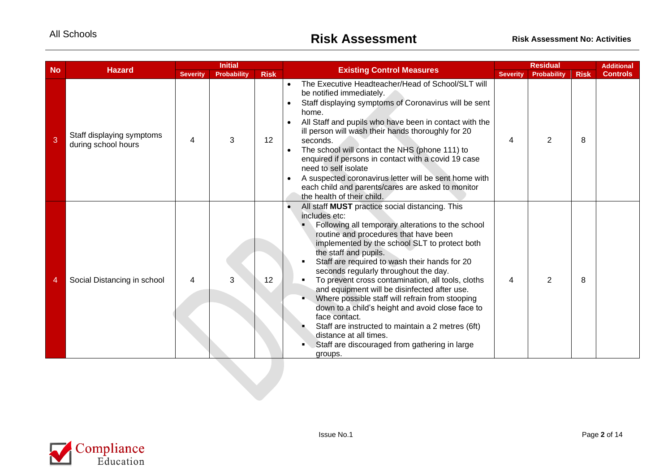| <b>No</b> | <b>Hazard</b>                                    |                 | <b>Initial</b>     |             | <b>Existing Control Measures</b>                                                                                                                                                                                                                                                                                                                                                                                                                                                                                                                                                                                                                                                                           |                 | <b>Residual</b> |             | <b>Additional</b> |
|-----------|--------------------------------------------------|-----------------|--------------------|-------------|------------------------------------------------------------------------------------------------------------------------------------------------------------------------------------------------------------------------------------------------------------------------------------------------------------------------------------------------------------------------------------------------------------------------------------------------------------------------------------------------------------------------------------------------------------------------------------------------------------------------------------------------------------------------------------------------------------|-----------------|-----------------|-------------|-------------------|
|           |                                                  | <b>Severity</b> | <b>Probability</b> | <b>Risk</b> |                                                                                                                                                                                                                                                                                                                                                                                                                                                                                                                                                                                                                                                                                                            | <b>Severity</b> | Probability     | <b>Risk</b> | <b>Controls</b>   |
| 3         | Staff displaying symptoms<br>during school hours | 4               | 3                  | 12          | The Executive Headteacher/Head of School/SLT will<br>$\bullet$<br>be notified immediately.<br>Staff displaying symptoms of Coronavirus will be sent<br>$\bullet$<br>home.<br>All Staff and pupils who have been in contact with the<br>ill person will wash their hands thoroughly for 20<br>seconds.<br>The school will contact the NHS (phone 111) to<br>enquired if persons in contact with a covid 19 case<br>need to self isolate<br>A suspected coronavirus letter will be sent home with<br>each child and parents/cares are asked to monitor<br>the health of their child.                                                                                                                         | 4               | $\overline{2}$  | 8           |                   |
| 4         | Social Distancing in school                      | 4               | 3                  | 12          | All staff MUST practice social distancing. This<br>includes etc:<br>Following all temporary alterations to the school<br>routine and procedures that have been<br>implemented by the school SLT to protect both<br>the staff and pupils.<br>Staff are required to wash their hands for 20<br>seconds regularly throughout the day.<br>To prevent cross contamination, all tools, cloths<br>and equipment will be disinfected after use.<br>Where possible staff will refrain from stooping<br>down to a child's height and avoid close face to<br>face contact.<br>Staff are instructed to maintain a 2 metres (6ft)<br>distance at all times.<br>Staff are discouraged from gathering in large<br>groups. | $\overline{4}$  | 2               | 8           |                   |
|           |                                                  |                 |                    |             |                                                                                                                                                                                                                                                                                                                                                                                                                                                                                                                                                                                                                                                                                                            |                 |                 |             |                   |

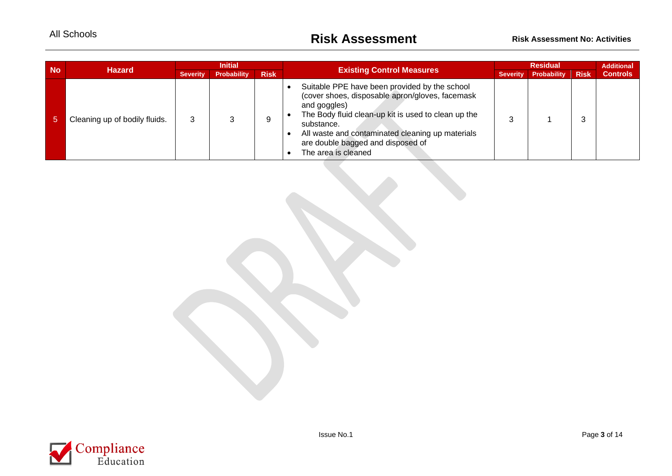| <b>No</b> | <b>Hazard</b>                 | <b>Initial</b>  |                    |             |                                                                                                                                                                                                                                                                                                       |                 | <b>Additional</b> |             |                 |
|-----------|-------------------------------|-----------------|--------------------|-------------|-------------------------------------------------------------------------------------------------------------------------------------------------------------------------------------------------------------------------------------------------------------------------------------------------------|-----------------|-------------------|-------------|-----------------|
|           |                               | <b>Severity</b> | <b>Probability</b> | <b>Risk</b> | <b>Existing Control Measures</b>                                                                                                                                                                                                                                                                      | <b>Severity</b> | Probability       | <b>Risk</b> | <b>Controls</b> |
| יפי       | Cleaning up of bodily fluids. | 3               |                    | Q           | Suitable PPE have been provided by the school<br>(cover shoes, disposable apron/gloves, facemask<br>and goggles)<br>The Body fluid clean-up kit is used to clean up the<br>substance.<br>All waste and contaminated cleaning up materials<br>are double bagged and disposed of<br>The area is cleaned |                 |                   | 3           |                 |

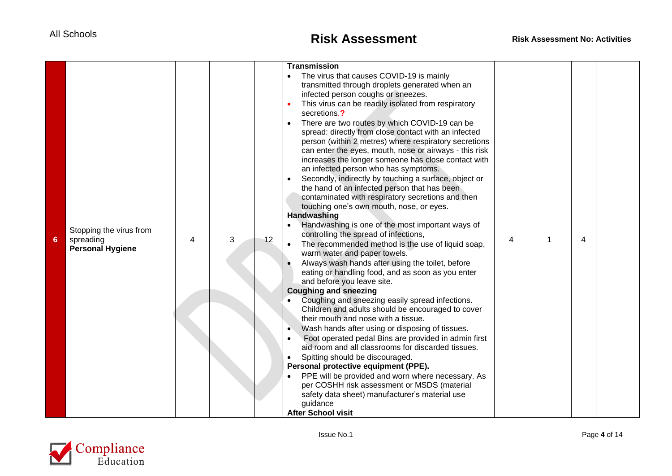|                |                         |   |   |    | <b>Transmission</b>                                                                                           |   |                |  |
|----------------|-------------------------|---|---|----|---------------------------------------------------------------------------------------------------------------|---|----------------|--|
|                |                         |   |   |    | The virus that causes COVID-19 is mainly                                                                      |   |                |  |
|                |                         |   |   |    | transmitted through droplets generated when an                                                                |   |                |  |
|                |                         |   |   |    | infected person coughs or sneezes.                                                                            |   |                |  |
|                |                         |   |   |    | This virus can be readily isolated from respiratory                                                           |   |                |  |
|                |                         |   |   |    | secretions.?                                                                                                  |   |                |  |
|                |                         |   |   |    | There are two routes by which COVID-19 can be                                                                 |   |                |  |
|                |                         |   |   |    | spread: directly from close contact with an infected                                                          |   |                |  |
|                |                         |   |   |    | person (within 2 metres) where respiratory secretions                                                         |   |                |  |
|                |                         |   |   |    | can enter the eyes, mouth, nose or airways - this risk<br>increases the longer someone has close contact with |   |                |  |
|                |                         |   |   |    | an infected person who has symptoms.                                                                          |   |                |  |
|                |                         |   |   |    | Secondly, indirectly by touching a surface, object or<br>$\bullet$                                            |   |                |  |
|                |                         |   |   |    | the hand of an infected person that has been                                                                  |   |                |  |
|                |                         |   |   |    | contaminated with respiratory secretions and then                                                             |   |                |  |
|                |                         |   |   |    | touching one's own mouth, nose, or eyes.                                                                      |   |                |  |
|                |                         |   |   |    | <b>Handwashing</b>                                                                                            |   |                |  |
|                | Stopping the virus from |   |   |    | Handwashing is one of the most important ways of                                                              |   |                |  |
| $6\phantom{1}$ | spreading               | 4 | 3 | 12 | controlling the spread of infections,                                                                         | 4 | $\overline{4}$ |  |
|                | <b>Personal Hygiene</b> |   |   |    | The recommended method is the use of liquid soap,                                                             |   |                |  |
|                |                         |   |   |    | warm water and paper towels.                                                                                  |   |                |  |
|                |                         |   |   |    | Always wash hands after using the toilet, before                                                              |   |                |  |
|                |                         |   |   |    | eating or handling food, and as soon as you enter<br>and before you leave site.                               |   |                |  |
|                |                         |   |   |    | <b>Coughing and sneezing</b>                                                                                  |   |                |  |
|                |                         |   |   |    | Coughing and sneezing easily spread infections.                                                               |   |                |  |
|                |                         |   |   |    | Children and adults should be encouraged to cover                                                             |   |                |  |
|                |                         |   |   |    | their mouth and nose with a tissue.                                                                           |   |                |  |
|                |                         |   |   |    | Wash hands after using or disposing of tissues.<br>$\bullet$                                                  |   |                |  |
|                |                         |   |   |    | Foot operated pedal Bins are provided in admin first<br>$\bullet$                                             |   |                |  |
|                |                         |   |   |    | aid room and all classrooms for discarded tissues.                                                            |   |                |  |
|                |                         |   |   |    | Spitting should be discouraged.                                                                               |   |                |  |
|                |                         |   |   |    | Personal protective equipment (PPE).                                                                          |   |                |  |
|                |                         |   |   |    | PPE will be provided and worn where necessary. As                                                             |   |                |  |
|                |                         |   |   |    | per COSHH risk assessment or MSDS (material<br>safety data sheet) manufacturer's material use                 |   |                |  |
|                |                         |   |   |    | guidance                                                                                                      |   |                |  |
|                |                         |   |   |    | <b>After School visit</b>                                                                                     |   |                |  |

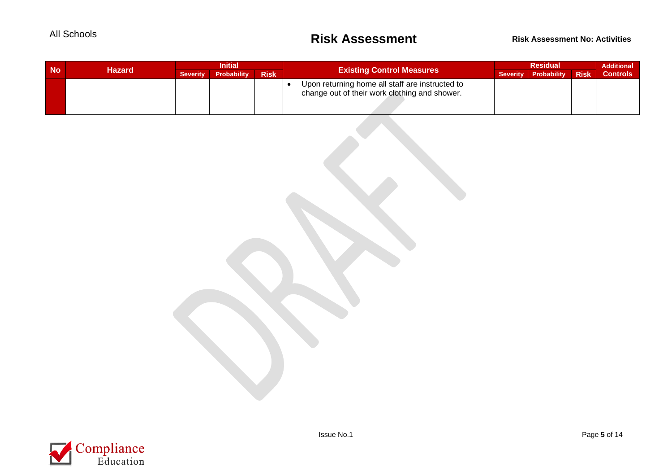| <b>No</b> |        | <b>Initial</b>  |                    |             |                                                                                                  |  | <b>Residual</b>      |             |                 |  |
|-----------|--------|-----------------|--------------------|-------------|--------------------------------------------------------------------------------------------------|--|----------------------|-------------|-----------------|--|
|           | Hazard | <b>Severity</b> | <b>Probability</b> | <b>Risk</b> | <b>Existing Control Measures</b>                                                                 |  | Severity Probability | <b>Risk</b> | <b>Controls</b> |  |
|           |        |                 |                    |             | Upon returning home all staff are instructed to<br>change out of their work clothing and shower. |  |                      |             |                 |  |

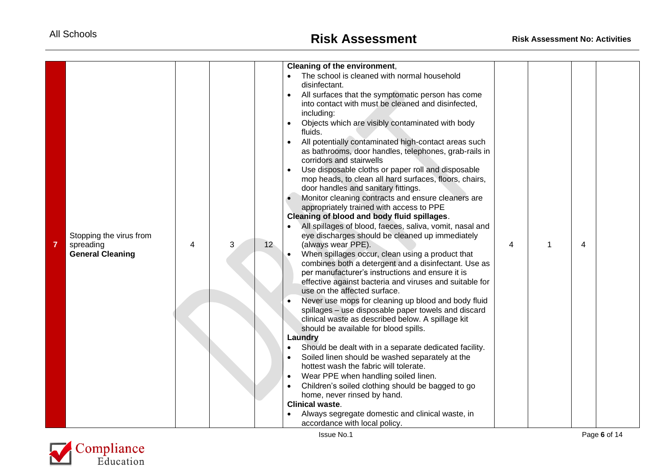| $\overline{7}$ | Stopping the virus from<br>spreading<br><b>General Cleaning</b> | 4 | 12 <sup>°</sup> | Cleaning of the environment,<br>The school is cleaned with normal household<br>disinfectant.<br>All surfaces that the symptomatic person has come<br>$\bullet$<br>into contact with must be cleaned and disinfected,<br>including:<br>Objects which are visibly contaminated with body<br>fluids.<br>All potentially contaminated high-contact areas such<br>as bathrooms, door handles, telephones, grab-rails in<br>corridors and stairwells<br>Use disposable cloths or paper roll and disposable<br>mop heads, to clean all hard surfaces, floors, chairs,<br>door handles and sanitary fittings.<br>Monitor cleaning contracts and ensure cleaners are<br>appropriately trained with access to PPE<br>Cleaning of blood and body fluid spillages.<br>All spillages of blood, faeces, saliva, vomit, nasal and<br>eye discharges should be cleaned up immediately<br>(always wear PPE).<br>When spillages occur, clean using a product that<br>combines both a detergent and a disinfectant. Use as<br>per manufacturer's instructions and ensure it is<br>effective against bacteria and viruses and suitable for<br>use on the affected surface.<br>Never use mops for cleaning up blood and body fluid<br>spillages - use disposable paper towels and discard<br>clinical waste as described below. A spillage kit<br>should be available for blood spills. | 4 | 1 | 4 |  |
|----------------|-----------------------------------------------------------------|---|-----------------|--------------------------------------------------------------------------------------------------------------------------------------------------------------------------------------------------------------------------------------------------------------------------------------------------------------------------------------------------------------------------------------------------------------------------------------------------------------------------------------------------------------------------------------------------------------------------------------------------------------------------------------------------------------------------------------------------------------------------------------------------------------------------------------------------------------------------------------------------------------------------------------------------------------------------------------------------------------------------------------------------------------------------------------------------------------------------------------------------------------------------------------------------------------------------------------------------------------------------------------------------------------------------------------------------------------------------------------------------------------------|---|---|---|--|
|                |                                                                 |   |                 | Laundry<br>Should be dealt with in a separate dedicated facility.<br>Soiled linen should be washed separately at the<br>hottest wash the fabric will tolerate.<br>Wear PPE when handling soiled linen.<br>$\bullet$<br>Children's soiled clothing should be bagged to go<br>home, never rinsed by hand.<br><b>Clinical waste.</b><br>Always segregate domestic and clinical waste, in<br>accordance with local policy.                                                                                                                                                                                                                                                                                                                                                                                                                                                                                                                                                                                                                                                                                                                                                                                                                                                                                                                                             |   |   |   |  |

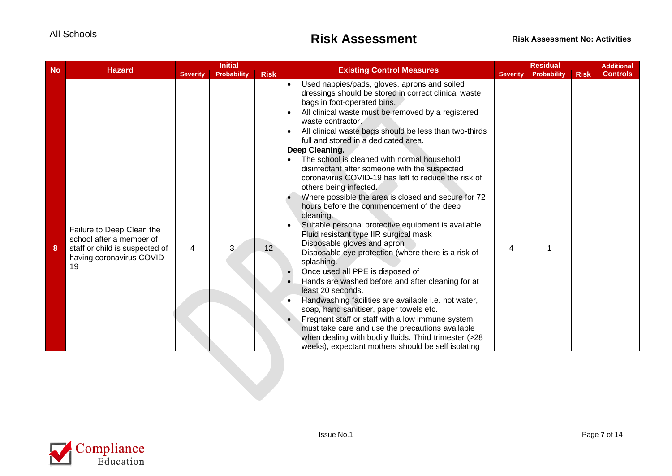| <b>No</b> | <b>Hazard</b>                                                                                                              |                 | <b>Initial</b>     |             | <b>Existing Control Measures</b>                                                                                                                                                                                                                                                                                                                                                                                                                                                                                                                                                                                                                                                                                                                                                                                                                                                                                                                                           |                 | <b>Residual</b>    |             | <b>Additional</b> |
|-----------|----------------------------------------------------------------------------------------------------------------------------|-----------------|--------------------|-------------|----------------------------------------------------------------------------------------------------------------------------------------------------------------------------------------------------------------------------------------------------------------------------------------------------------------------------------------------------------------------------------------------------------------------------------------------------------------------------------------------------------------------------------------------------------------------------------------------------------------------------------------------------------------------------------------------------------------------------------------------------------------------------------------------------------------------------------------------------------------------------------------------------------------------------------------------------------------------------|-----------------|--------------------|-------------|-------------------|
|           |                                                                                                                            | <b>Severity</b> | <b>Probability</b> | <b>Risk</b> |                                                                                                                                                                                                                                                                                                                                                                                                                                                                                                                                                                                                                                                                                                                                                                                                                                                                                                                                                                            | <b>Severity</b> | <b>Probability</b> | <b>Risk</b> | <b>Controls</b>   |
|           |                                                                                                                            |                 |                    |             | Used nappies/pads, gloves, aprons and soiled<br>$\bullet$<br>dressings should be stored in correct clinical waste<br>bags in foot-operated bins.<br>All clinical waste must be removed by a registered<br>waste contractor.<br>All clinical waste bags should be less than two-thirds<br>full and stored in a dedicated area.                                                                                                                                                                                                                                                                                                                                                                                                                                                                                                                                                                                                                                              |                 |                    |             |                   |
| 8         | Failure to Deep Clean the<br>school after a member of<br>staff or child is suspected of<br>having coronavirus COVID-<br>19 | 4               | 3                  | 12          | Deep Cleaning.<br>The school is cleaned with normal household<br>disinfectant after someone with the suspected<br>coronavirus COVID-19 has left to reduce the risk of<br>others being infected.<br>Where possible the area is closed and secure for 72<br>hours before the commencement of the deep<br>cleaning.<br>Suitable personal protective equipment is available<br>Fluid resistant type IIR surgical mask<br>Disposable gloves and apron<br>Disposable eye protection (where there is a risk of<br>splashing.<br>Once used all PPE is disposed of<br>Hands are washed before and after cleaning for at<br>least 20 seconds.<br>Handwashing facilities are available i.e. hot water,<br>soap, hand sanitiser, paper towels etc.<br>Pregnant staff or staff with a low immune system<br>$\bullet$<br>must take care and use the precautions available<br>when dealing with bodily fluids. Third trimester (>28<br>weeks), expectant mothers should be self isolating | 4               |                    |             |                   |
|           |                                                                                                                            |                 |                    |             |                                                                                                                                                                                                                                                                                                                                                                                                                                                                                                                                                                                                                                                                                                                                                                                                                                                                                                                                                                            |                 |                    |             |                   |

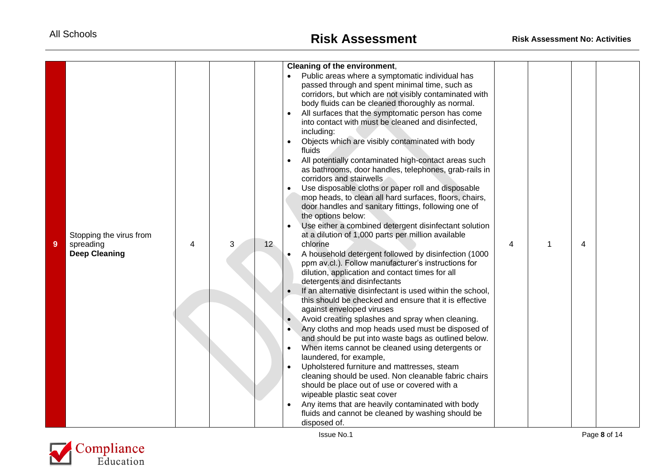| 9 | Stopping the virus from<br>spreading<br><b>Deep Cleaning</b> | 4 | 3 | 12 <sup>°</sup> | Cleaning of the environment,<br>Public areas where a symptomatic individual has<br>passed through and spent minimal time, such as<br>corridors, but which are not visibly contaminated with<br>body fluids can be cleaned thoroughly as normal.<br>All surfaces that the symptomatic person has come<br>into contact with must be cleaned and disinfected,<br>including:<br>Objects which are visibly contaminated with body<br>fluids<br>All potentially contaminated high-contact areas such<br>as bathrooms, door handles, telephones, grab-rails in<br>corridors and stairwells<br>Use disposable cloths or paper roll and disposable<br>mop heads, to clean all hard surfaces, floors, chairs,<br>door handles and sanitary fittings, following one of<br>the options below:<br>Use either a combined detergent disinfectant solution<br>at a dilution of 1,000 parts per million available<br>chlorine<br>A household detergent followed by disinfection (1000<br>ppm av.cl.). Follow manufacturer's instructions for<br>dilution, application and contact times for all<br>detergents and disinfectants<br>If an alternative disinfectant is used within the school,<br>this should be checked and ensure that it is effective<br>against enveloped viruses<br>Avoid creating splashes and spray when cleaning.<br>Any cloths and mop heads used must be disposed of<br>and should be put into waste bags as outlined below.<br>When items cannot be cleaned using detergents or<br>laundered, for example,<br>Upholstered furniture and mattresses, steam<br>cleaning should be used. Non cleanable fabric chairs<br>should be place out of use or covered with a<br>wipeable plastic seat cover<br>Any items that are heavily contaminated with body<br>fluids and cannot be cleaned by washing should be<br>disposed of. | 4 |  | $\overline{\mathbf{4}}$ |  |
|---|--------------------------------------------------------------|---|---|-----------------|------------------------------------------------------------------------------------------------------------------------------------------------------------------------------------------------------------------------------------------------------------------------------------------------------------------------------------------------------------------------------------------------------------------------------------------------------------------------------------------------------------------------------------------------------------------------------------------------------------------------------------------------------------------------------------------------------------------------------------------------------------------------------------------------------------------------------------------------------------------------------------------------------------------------------------------------------------------------------------------------------------------------------------------------------------------------------------------------------------------------------------------------------------------------------------------------------------------------------------------------------------------------------------------------------------------------------------------------------------------------------------------------------------------------------------------------------------------------------------------------------------------------------------------------------------------------------------------------------------------------------------------------------------------------------------------------------------------------------------------------------------------------------------------------------------------------------------|---|--|-------------------------|--|
|---|--------------------------------------------------------------|---|---|-----------------|------------------------------------------------------------------------------------------------------------------------------------------------------------------------------------------------------------------------------------------------------------------------------------------------------------------------------------------------------------------------------------------------------------------------------------------------------------------------------------------------------------------------------------------------------------------------------------------------------------------------------------------------------------------------------------------------------------------------------------------------------------------------------------------------------------------------------------------------------------------------------------------------------------------------------------------------------------------------------------------------------------------------------------------------------------------------------------------------------------------------------------------------------------------------------------------------------------------------------------------------------------------------------------------------------------------------------------------------------------------------------------------------------------------------------------------------------------------------------------------------------------------------------------------------------------------------------------------------------------------------------------------------------------------------------------------------------------------------------------------------------------------------------------------------------------------------------------|---|--|-------------------------|--|

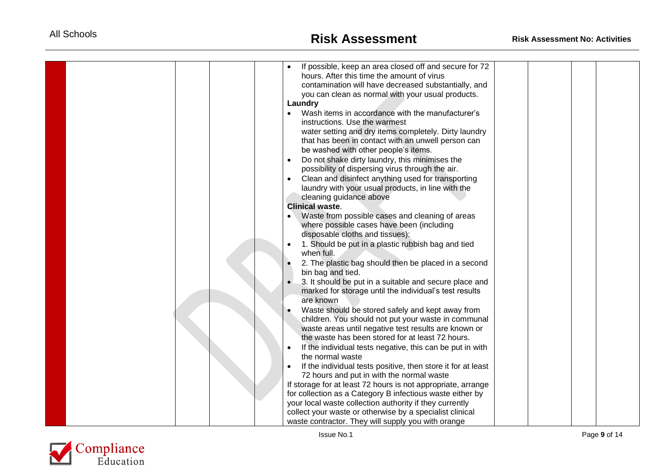| If possible, keep an area closed off and secure for 72<br>hours. After this time the amount of virus<br>contamination will have decreased substantially, and<br>you can clean as normal with your usual products.<br>Laundry<br>Wash items in accordance with the manufacturer's<br>$\bullet$<br>instructions. Use the warmest<br>water setting and dry items completely. Dirty laundry<br>that has been in contact with an unwell person can<br>be washed with other people's items.<br>Do not shake dirty laundry, this minimises the<br>possibility of dispersing virus through the air.<br>Clean and disinfect anything used for transporting<br>laundry with your usual products, in line with the<br>cleaning guidance above<br><b>Clinical waste.</b><br>Waste from possible cases and cleaning of areas<br>where possible cases have been (including<br>disposable cloths and tissues):<br>1. Should be put in a plastic rubbish bag and tied<br>when full.<br>2. The plastic bag should then be placed in a second<br>bin bag and tied. |  |  |
|--------------------------------------------------------------------------------------------------------------------------------------------------------------------------------------------------------------------------------------------------------------------------------------------------------------------------------------------------------------------------------------------------------------------------------------------------------------------------------------------------------------------------------------------------------------------------------------------------------------------------------------------------------------------------------------------------------------------------------------------------------------------------------------------------------------------------------------------------------------------------------------------------------------------------------------------------------------------------------------------------------------------------------------------------|--|--|
|                                                                                                                                                                                                                                                                                                                                                                                                                                                                                                                                                                                                                                                                                                                                                                                                                                                                                                                                                                                                                                                  |  |  |
|                                                                                                                                                                                                                                                                                                                                                                                                                                                                                                                                                                                                                                                                                                                                                                                                                                                                                                                                                                                                                                                  |  |  |
|                                                                                                                                                                                                                                                                                                                                                                                                                                                                                                                                                                                                                                                                                                                                                                                                                                                                                                                                                                                                                                                  |  |  |
|                                                                                                                                                                                                                                                                                                                                                                                                                                                                                                                                                                                                                                                                                                                                                                                                                                                                                                                                                                                                                                                  |  |  |
|                                                                                                                                                                                                                                                                                                                                                                                                                                                                                                                                                                                                                                                                                                                                                                                                                                                                                                                                                                                                                                                  |  |  |
|                                                                                                                                                                                                                                                                                                                                                                                                                                                                                                                                                                                                                                                                                                                                                                                                                                                                                                                                                                                                                                                  |  |  |
|                                                                                                                                                                                                                                                                                                                                                                                                                                                                                                                                                                                                                                                                                                                                                                                                                                                                                                                                                                                                                                                  |  |  |
|                                                                                                                                                                                                                                                                                                                                                                                                                                                                                                                                                                                                                                                                                                                                                                                                                                                                                                                                                                                                                                                  |  |  |
|                                                                                                                                                                                                                                                                                                                                                                                                                                                                                                                                                                                                                                                                                                                                                                                                                                                                                                                                                                                                                                                  |  |  |
|                                                                                                                                                                                                                                                                                                                                                                                                                                                                                                                                                                                                                                                                                                                                                                                                                                                                                                                                                                                                                                                  |  |  |
|                                                                                                                                                                                                                                                                                                                                                                                                                                                                                                                                                                                                                                                                                                                                                                                                                                                                                                                                                                                                                                                  |  |  |
|                                                                                                                                                                                                                                                                                                                                                                                                                                                                                                                                                                                                                                                                                                                                                                                                                                                                                                                                                                                                                                                  |  |  |
|                                                                                                                                                                                                                                                                                                                                                                                                                                                                                                                                                                                                                                                                                                                                                                                                                                                                                                                                                                                                                                                  |  |  |
| 3. It should be put in a suitable and secure place and                                                                                                                                                                                                                                                                                                                                                                                                                                                                                                                                                                                                                                                                                                                                                                                                                                                                                                                                                                                           |  |  |
| marked for storage until the individual's test results                                                                                                                                                                                                                                                                                                                                                                                                                                                                                                                                                                                                                                                                                                                                                                                                                                                                                                                                                                                           |  |  |
| are known                                                                                                                                                                                                                                                                                                                                                                                                                                                                                                                                                                                                                                                                                                                                                                                                                                                                                                                                                                                                                                        |  |  |
| Waste should be stored safely and kept away from                                                                                                                                                                                                                                                                                                                                                                                                                                                                                                                                                                                                                                                                                                                                                                                                                                                                                                                                                                                                 |  |  |
| children. You should not put your waste in communal                                                                                                                                                                                                                                                                                                                                                                                                                                                                                                                                                                                                                                                                                                                                                                                                                                                                                                                                                                                              |  |  |
| waste areas until negative test results are known or                                                                                                                                                                                                                                                                                                                                                                                                                                                                                                                                                                                                                                                                                                                                                                                                                                                                                                                                                                                             |  |  |
| the waste has been stored for at least 72 hours.                                                                                                                                                                                                                                                                                                                                                                                                                                                                                                                                                                                                                                                                                                                                                                                                                                                                                                                                                                                                 |  |  |
| If the individual tests negative, this can be put in with                                                                                                                                                                                                                                                                                                                                                                                                                                                                                                                                                                                                                                                                                                                                                                                                                                                                                                                                                                                        |  |  |
| the normal waste                                                                                                                                                                                                                                                                                                                                                                                                                                                                                                                                                                                                                                                                                                                                                                                                                                                                                                                                                                                                                                 |  |  |
| If the individual tests positive, then store it for at least                                                                                                                                                                                                                                                                                                                                                                                                                                                                                                                                                                                                                                                                                                                                                                                                                                                                                                                                                                                     |  |  |
| 72 hours and put in with the normal waste                                                                                                                                                                                                                                                                                                                                                                                                                                                                                                                                                                                                                                                                                                                                                                                                                                                                                                                                                                                                        |  |  |
| If storage for at least 72 hours is not appropriate, arrange                                                                                                                                                                                                                                                                                                                                                                                                                                                                                                                                                                                                                                                                                                                                                                                                                                                                                                                                                                                     |  |  |
| for collection as a Category B infectious waste either by                                                                                                                                                                                                                                                                                                                                                                                                                                                                                                                                                                                                                                                                                                                                                                                                                                                                                                                                                                                        |  |  |
| your local waste collection authority if they currently                                                                                                                                                                                                                                                                                                                                                                                                                                                                                                                                                                                                                                                                                                                                                                                                                                                                                                                                                                                          |  |  |
| collect your waste or otherwise by a specialist clinical                                                                                                                                                                                                                                                                                                                                                                                                                                                                                                                                                                                                                                                                                                                                                                                                                                                                                                                                                                                         |  |  |
| waste contractor. They will supply you with orange                                                                                                                                                                                                                                                                                                                                                                                                                                                                                                                                                                                                                                                                                                                                                                                                                                                                                                                                                                                               |  |  |

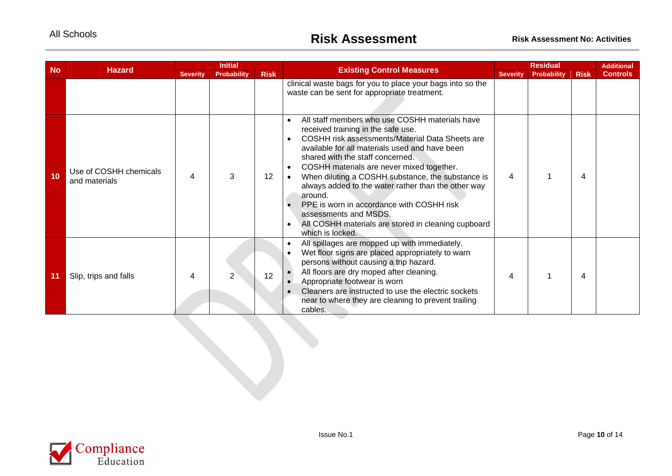| <b>No</b> | <b>Hazard</b>                           |                 | <b>Initial</b>     |             | <b>Existing Control Measures</b>                                                                                                                                                                                                                                                                                                                                                                                                                                                                                                                                                                       |                 | <b>Residual</b>    |             | <b>Additional</b> |
|-----------|-----------------------------------------|-----------------|--------------------|-------------|--------------------------------------------------------------------------------------------------------------------------------------------------------------------------------------------------------------------------------------------------------------------------------------------------------------------------------------------------------------------------------------------------------------------------------------------------------------------------------------------------------------------------------------------------------------------------------------------------------|-----------------|--------------------|-------------|-------------------|
|           |                                         | <b>Severity</b> | <b>Probability</b> | <b>Risk</b> |                                                                                                                                                                                                                                                                                                                                                                                                                                                                                                                                                                                                        | <b>Severity</b> | <b>Probability</b> | <b>Risk</b> | <b>Controls</b>   |
|           |                                         |                 |                    |             | clinical waste bags for you to place your bags into so the<br>waste can be sent for appropriate treatment.                                                                                                                                                                                                                                                                                                                                                                                                                                                                                             |                 |                    |             |                   |
| 10        | Use of COSHH chemicals<br>and materials | 4               | 3                  | 12          | All staff members who use COSHH materials have<br>$\bullet$<br>received training in the safe use.<br>COSHH risk assessments/Material Data Sheets are<br>$\bullet$<br>available for all materials used and have been<br>shared with the staff concerned.<br>COSHH materials are never mixed together.<br>$\bullet$<br>When diluting a COSHH substance, the substance is<br>always added to the water rather than the other way<br>around.<br>PPE is worn in accordance with COSHH risk<br>$\bullet$<br>assessments and MSDS.<br>All COSHH materials are stored in cleaning cupboard<br>which is locked. | 4               |                    | 4           |                   |
| 11        | Slip, trips and falls                   | 4               |                    | 12          | All spillages are mopped up with immediately.<br>$\bullet$<br>Wet floor signs are placed appropriately to warn<br>$\bullet$<br>persons without causing a trip hazard.<br>All floors are dry moped after cleaning.<br>Appropriate footwear is worn<br>Cleaners are instructed to use the electric sockets<br>$\bullet$<br>near to where they are cleaning to prevent trailing<br>cables.                                                                                                                                                                                                                | 4               |                    | 4           |                   |

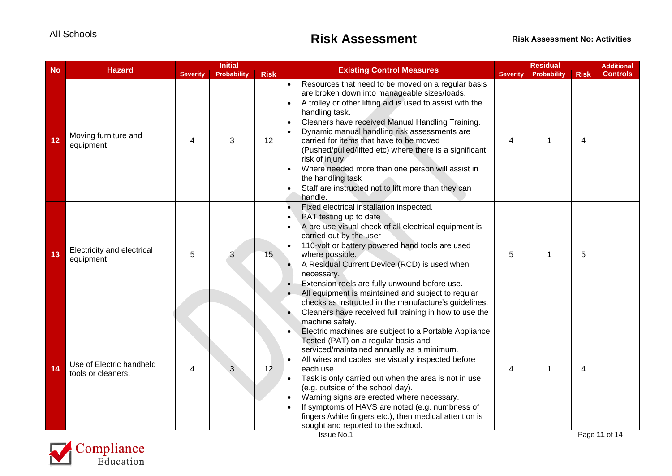| <b>Risk</b><br><b>Severity</b><br><b>Probability</b><br><b>Severity</b><br><b>Risk</b><br><b>Probability</b><br><b>Controls</b><br>Resources that need to be moved on a regular basis<br>$\bullet$<br>are broken down into manageable sizes/loads.<br>A trolley or other lifting aid is used to assist with the<br>$\bullet$<br>handling task.<br>Cleaners have received Manual Handling Training.<br>$\bullet$<br>Dynamic manual handling risk assessments are<br>$\bullet$<br>Moving furniture and<br>3<br>carried for items that have to be moved<br>12<br>12<br>4<br>4<br>1<br>4<br>equipment<br>(Pushed/pulled/lifted etc) where there is a significant<br>risk of injury.<br>Where needed more than one person will assist in<br>the handling task<br>Staff are instructed not to lift more than they can<br>$\bullet$<br>handle.<br>Fixed electrical installation inspected.<br>$\bullet$<br>PAT testing up to date<br>$\bullet$<br>A pre-use visual check of all electrical equipment is<br>$\bullet$<br>carried out by the user<br>110-volt or battery powered hand tools are used<br>$\bullet$<br>Electricity and electrical<br>5<br>15<br>where possible.<br>5<br>13<br>5<br>3<br>1<br>equipment<br>A Residual Current Device (RCD) is used when<br>necessary.<br>Extension reels are fully unwound before use.<br>$\bullet$<br>All equipment is maintained and subject to regular<br>checks as instructed in the manufacture's guidelines.<br>Cleaners have received full training in how to use the<br>$\bullet$<br>machine safely.<br>Electric machines are subject to a Portable Appliance<br>Tested (PAT) on a regular basis and<br>serviced/maintained annually as a minimum.<br>All wires and cables are visually inspected before<br>$\bullet$<br>Use of Electric handheld<br>14<br>12<br>each use.<br>4<br>4<br>1<br>4<br>tools or cleaners.<br>Task is only carried out when the area is not in use<br>$\bullet$<br>(e.g. outside of the school day).<br>Warning signs are erected where necessary.<br>$\bullet$<br>If symptoms of HAVS are noted (e.g. numbness of<br>$\bullet$<br>fingers /white fingers etc.), then medical attention is<br>sought and reported to the school.<br>Page 11 of 14<br>Issue No.1 |           |               | <b>Initial</b> |                                  | <b>Residual</b> | <b>Additional</b> |
|---------------------------------------------------------------------------------------------------------------------------------------------------------------------------------------------------------------------------------------------------------------------------------------------------------------------------------------------------------------------------------------------------------------------------------------------------------------------------------------------------------------------------------------------------------------------------------------------------------------------------------------------------------------------------------------------------------------------------------------------------------------------------------------------------------------------------------------------------------------------------------------------------------------------------------------------------------------------------------------------------------------------------------------------------------------------------------------------------------------------------------------------------------------------------------------------------------------------------------------------------------------------------------------------------------------------------------------------------------------------------------------------------------------------------------------------------------------------------------------------------------------------------------------------------------------------------------------------------------------------------------------------------------------------------------------------------------------------------------------------------------------------------------------------------------------------------------------------------------------------------------------------------------------------------------------------------------------------------------------------------------------------------------------------------------------------------------------------------------------------------------------------------------------------------------------------------------------------------------------|-----------|---------------|----------------|----------------------------------|-----------------|-------------------|
|                                                                                                                                                                                                                                                                                                                                                                                                                                                                                                                                                                                                                                                                                                                                                                                                                                                                                                                                                                                                                                                                                                                                                                                                                                                                                                                                                                                                                                                                                                                                                                                                                                                                                                                                                                                                                                                                                                                                                                                                                                                                                                                                                                                                                                       | <b>No</b> | <b>Hazard</b> |                | <b>Existing Control Measures</b> |                 |                   |
|                                                                                                                                                                                                                                                                                                                                                                                                                                                                                                                                                                                                                                                                                                                                                                                                                                                                                                                                                                                                                                                                                                                                                                                                                                                                                                                                                                                                                                                                                                                                                                                                                                                                                                                                                                                                                                                                                                                                                                                                                                                                                                                                                                                                                                       |           |               |                |                                  |                 |                   |
|                                                                                                                                                                                                                                                                                                                                                                                                                                                                                                                                                                                                                                                                                                                                                                                                                                                                                                                                                                                                                                                                                                                                                                                                                                                                                                                                                                                                                                                                                                                                                                                                                                                                                                                                                                                                                                                                                                                                                                                                                                                                                                                                                                                                                                       |           |               |                |                                  |                 |                   |
|                                                                                                                                                                                                                                                                                                                                                                                                                                                                                                                                                                                                                                                                                                                                                                                                                                                                                                                                                                                                                                                                                                                                                                                                                                                                                                                                                                                                                                                                                                                                                                                                                                                                                                                                                                                                                                                                                                                                                                                                                                                                                                                                                                                                                                       |           |               |                |                                  |                 |                   |

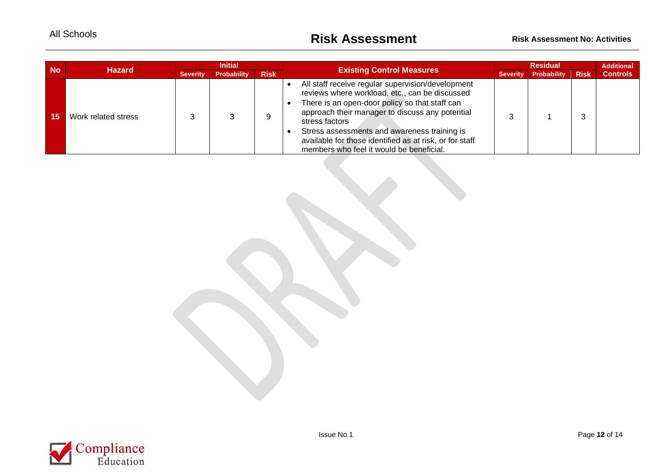| <b>No</b> | <b>Hazard</b>       | <b>Initial</b>  |                    |             |                                                                                                                                                                                                                                                                                                                                                                                   | <b>Residual</b> |                    |             | <b>Additional</b> |
|-----------|---------------------|-----------------|--------------------|-------------|-----------------------------------------------------------------------------------------------------------------------------------------------------------------------------------------------------------------------------------------------------------------------------------------------------------------------------------------------------------------------------------|-----------------|--------------------|-------------|-------------------|
|           |                     | <b>Severity</b> | <b>Probability</b> | <b>Risk</b> | <b>Existing Control Measures</b>                                                                                                                                                                                                                                                                                                                                                  | <b>Severity</b> | <b>Probability</b> | <b>Risk</b> | <b>Controls</b>   |
| 15.       | Work related stress |                 |                    |             | All staff receive regular supervision/development<br>reviews where workload, etc., can be discussed<br>There is an open-door policy so that staff can<br>approach their manager to discuss any potential<br>stress factors<br>Stress assessments and awareness training is<br>available for those identified as at risk, or for staff<br>members who feel it would be beneficial. |                 |                    |             |                   |

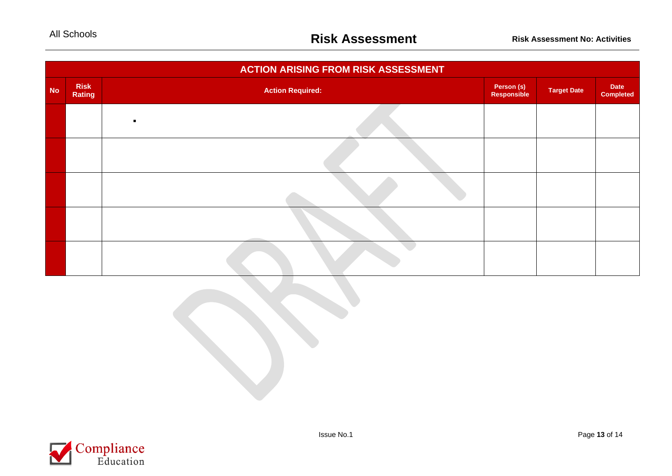| <b>ACTION ARISING FROM RISK ASSESSMENT</b> |                       |                         |                           |                    |                          |  |  |  |
|--------------------------------------------|-----------------------|-------------------------|---------------------------|--------------------|--------------------------|--|--|--|
| <b>No</b>                                  | <b>Risk</b><br>Rating | <b>Action Required:</b> | Person (s)<br>Responsible | <b>Target Date</b> | Date<br><b>Completed</b> |  |  |  |
|                                            |                       |                         |                           |                    |                          |  |  |  |
|                                            |                       |                         |                           |                    |                          |  |  |  |
|                                            |                       |                         |                           |                    |                          |  |  |  |
|                                            |                       |                         |                           |                    |                          |  |  |  |
|                                            |                       |                         |                           |                    |                          |  |  |  |